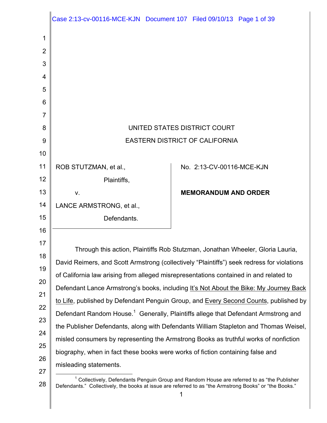|                                                                | Case 2:13-cv-00116-MCE-KJN  Document 107  Filed 09/10/13  Page 1 of 39                                                                                                                                                                                                                                                                                                                                                                                                                                                                                                                                                                                                                                                                                                                                                                                                                                                                                         |                                                          |  |
|----------------------------------------------------------------|----------------------------------------------------------------------------------------------------------------------------------------------------------------------------------------------------------------------------------------------------------------------------------------------------------------------------------------------------------------------------------------------------------------------------------------------------------------------------------------------------------------------------------------------------------------------------------------------------------------------------------------------------------------------------------------------------------------------------------------------------------------------------------------------------------------------------------------------------------------------------------------------------------------------------------------------------------------|----------------------------------------------------------|--|
| 1<br>2<br>3<br>4<br>5<br>6<br>7<br>8                           | UNITED STATES DISTRICT COURT                                                                                                                                                                                                                                                                                                                                                                                                                                                                                                                                                                                                                                                                                                                                                                                                                                                                                                                                   |                                                          |  |
| 9<br>10                                                        | <b>EASTERN DISTRICT OF CALIFORNIA</b>                                                                                                                                                                                                                                                                                                                                                                                                                                                                                                                                                                                                                                                                                                                                                                                                                                                                                                                          |                                                          |  |
| 11<br>12<br>13                                                 | ROB STUTZMAN, et al.,<br>Plaintiffs,<br>V.                                                                                                                                                                                                                                                                                                                                                                                                                                                                                                                                                                                                                                                                                                                                                                                                                                                                                                                     | No. 2:13-CV-00116-MCE-KJN<br><b>MEMORANDUM AND ORDER</b> |  |
| 14<br>15<br>16                                                 | LANCE ARMSTRONG, et al.,<br>Defendants.                                                                                                                                                                                                                                                                                                                                                                                                                                                                                                                                                                                                                                                                                                                                                                                                                                                                                                                        |                                                          |  |
| 17<br>18<br>19<br>20<br>21<br>22<br>23<br>24<br>25<br>26<br>27 | Through this action, Plaintiffs Rob Stutzman, Jonathan Wheeler, Gloria Lauria,<br>David Reimers, and Scott Armstrong (collectively "Plaintiffs") seek redress for violations<br>of California law arising from alleged misrepresentations contained in and related to<br>Defendant Lance Armstrong's books, including It's Not About the Bike: My Journey Back<br>to Life, published by Defendant Penguin Group, and Every Second Counts, published by<br>Defendant Random House. <sup>1</sup> Generally, Plaintiffs allege that Defendant Armstrong and<br>the Publisher Defendants, along with Defendants William Stapleton and Thomas Weisel,<br>misled consumers by representing the Armstrong Books as truthful works of nonfiction<br>biography, when in fact these books were works of fiction containing false and<br>misleading statements.<br><sup>1</sup> Collectively, Defendants Penguin Group and Random House are referred to as "the Publisher |                                                          |  |

<sup>28</sup> Defendants." Collectively, the books at issue are referred to as "the Armstrong Books" or "the Books."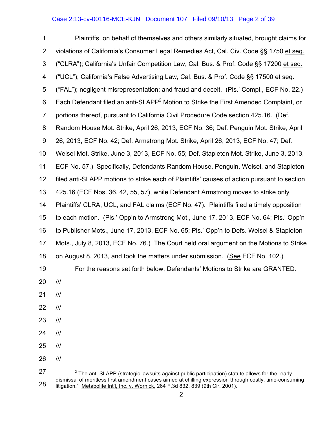# Case 2:13-cv-00116-MCE-KJN Document 107 Filed 09/10/13 Page 2 of 39

1 2 3 4 5 6 7 8 9 10 11 12 13 14 15 16 17 18 19 20 21 22 23 24 25 26 27 28 Plaintiffs, on behalf of themselves and others similarly situated, brought claims for violations of California's Consumer Legal Remedies Act, Cal. Civ. Code §§ 1750 et seq. ("CLRA"); California's Unfair Competition Law, Cal. Bus. & Prof. Code §§ 17200 et seq. ("UCL"); California's False Advertising Law, Cal. Bus. & Prof. Code §§ 17500 et seq. ("FAL"); negligent misrepresentation; and fraud and deceit. (Pls.' Compl., ECF No. 22.) Each Defendant filed an anti-SLAPP<sup>2</sup> Motion to Strike the First Amended Complaint, or portions thereof, pursuant to California Civil Procedure Code section 425.16. (Def. Random House Mot. Strike, April 26, 2013, ECF No. 36; Def. Penguin Mot. Strike, April 26, 2013, ECF No. 42; Def. Armstrong Mot. Strike, April 26, 2013, ECF No. 47; Def. Weisel Mot. Strike, June 3, 2013, ECF No. 55; Def. Stapleton Mot. Strike, June 3, 2013, ECF No. 57.) Specifically, Defendants Random House, Penguin, Weisel, and Stapleton filed anti-SLAPP motions to strike each of Plaintiffs' causes of action pursuant to section 425.16 (ECF Nos. 36, 42, 55, 57), while Defendant Armstrong moves to strike only Plaintiffs' CLRA, UCL, and FAL claims (ECF No. 47). Plaintiffs filed a timely opposition to each motion. (Pls.' Opp'n to Armstrong Mot., June 17, 2013, ECF No. 64; Pls.' Opp'n to Publisher Mots., June 17, 2013, ECF No. 65; Pls.' Opp'n to Defs. Weisel & Stapleton Mots., July 8, 2013, ECF No. 76.) The Court held oral argument on the Motions to Strike on August 8, 2013, and took the matters under submission. (See ECF No. 102.) For the reasons set forth below, Defendants' Motions to Strike are GRANTED. /// /// /// /// /// /// ///  $2$  The anti-SLAPP (strategic lawsuits against public participation) statute allows for the "early dismissal of meritless first amendment cases aimed at chilling expression through costly, time-consuming litigation." Metabolife Int'l, Inc. v. Wornick, 264 F.3d 832, 839 (9th Cir. 2001).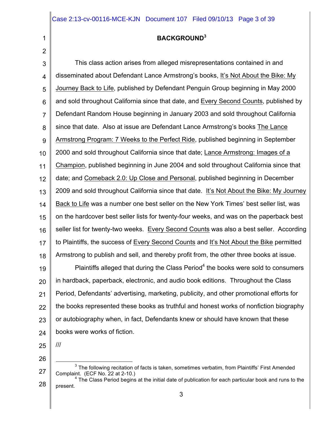### **BACKGROUND<sup>3</sup>**

3 4 5 6 7 8 9 10 11 12 13 14 15 16 17 18 This class action arises from alleged misrepresentations contained in and disseminated about Defendant Lance Armstrong's books, It's Not About the Bike: My Journey Back to Life, published by Defendant Penguin Group beginning in May 2000 and sold throughout California since that date, and Every Second Counts, published by Defendant Random House beginning in January 2003 and sold throughout California since that date. Also at issue are Defendant Lance Armstrong's books The Lance Armstrong Program: 7 Weeks to the Perfect Ride, published beginning in September 2000 and sold throughout California since that date; Lance Armstrong: Images of a Champion, published beginning in June 2004 and sold throughout California since that date; and Comeback 2.0: Up Close and Personal, published beginning in December 2009 and sold throughout California since that date. It's Not About the Bike: My Journey Back to Life was a number one best seller on the New York Times' best seller list, was on the hardcover best seller lists for twenty-four weeks, and was on the paperback best seller list for twenty-two weeks. Every Second Counts was also a best seller. According to Plaintiffs, the success of Every Second Counts and It's Not About the Bike permitted Armstrong to publish and sell, and thereby profit from, the other three books at issue. Plaintiffs alleged that during the Class  $Period<sup>4</sup>$  the books were sold to consumers

19 20 21 22 23 24 in hardback, paperback, electronic, and audio book editions. Throughout the Class Period, Defendants' advertising, marketing, publicity, and other promotional efforts for the books represented these books as truthful and honest works of nonfiction biography or autobiography when, in fact, Defendants knew or should have known that these books were works of fiction.

25

///

26

1

2

28 present.

<sup>27</sup>  $3$  The following recitation of facts is taken, sometimes verbatim, from Plaintiffs' First Amended Complaint. (ECF No. 22 at 2-10.)<br><sup>4</sup> The Class Period begins at the initial date of publication for each particular book and runs to the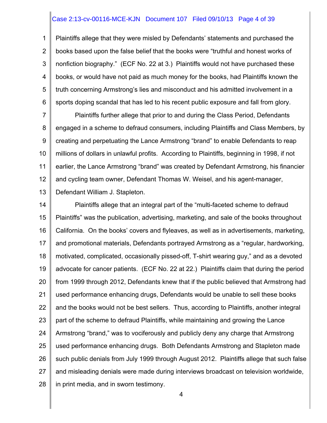#### Case 2:13-cv-00116-MCE-KJN Document 107 Filed 09/10/13 Page 4 of 39

1 2 3 4 5 6 Plaintiffs allege that they were misled by Defendants' statements and purchased the books based upon the false belief that the books were "truthful and honest works of nonfiction biography." (ECF No. 22 at 3.) Plaintiffs would not have purchased these books, or would have not paid as much money for the books, had Plaintiffs known the truth concerning Armstrong's lies and misconduct and his admitted involvement in a sports doping scandal that has led to his recent public exposure and fall from glory.

7 8 9 10 11 12 13 Plaintiffs further allege that prior to and during the Class Period, Defendants engaged in a scheme to defraud consumers, including Plaintiffs and Class Members, by creating and perpetuating the Lance Armstrong "brand" to enable Defendants to reap millions of dollars in unlawful profits. According to Plaintiffs, beginning in 1998, if not earlier, the Lance Armstrong "brand" was created by Defendant Armstrong, his financier and cycling team owner, Defendant Thomas W. Weisel, and his agent-manager, Defendant William J. Stapleton.

14 15 16 17 18 19 20 21 22 23 24 25 26 27 28 Plaintiffs allege that an integral part of the "multi-faceted scheme to defraud Plaintiffs" was the publication, advertising, marketing, and sale of the books throughout California. On the books' covers and flyleaves, as well as in advertisements, marketing, and promotional materials, Defendants portrayed Armstrong as a "regular, hardworking, motivated, complicated, occasionally pissed-off, T-shirt wearing guy," and as a devoted advocate for cancer patients. (ECF No. 22 at 22.) Plaintiffs claim that during the period from 1999 through 2012, Defendants knew that if the public believed that Armstrong had used performance enhancing drugs, Defendants would be unable to sell these books and the books would not be best sellers. Thus, according to Plaintiffs, another integral part of the scheme to defraud Plaintiffs, while maintaining and growing the Lance Armstrong "brand," was to vociferously and publicly deny any charge that Armstrong used performance enhancing drugs. Both Defendants Armstrong and Stapleton made such public denials from July 1999 through August 2012. Plaintiffs allege that such false and misleading denials were made during interviews broadcast on television worldwide, in print media, and in sworn testimony.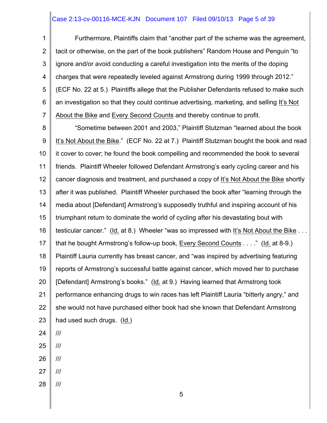# Case 2:13-cv-00116-MCE-KJN Document 107 Filed 09/10/13 Page 5 of 39

1 2 3 4 5 6 7 Furthermore, Plaintiffs claim that "another part of the scheme was the agreement, tacit or otherwise, on the part of the book publishers" Random House and Penguin "to ignore and/or avoid conducting a careful investigation into the merits of the doping charges that were repeatedly leveled against Armstrong during 1999 through 2012." (ECF No. 22 at 5.) Plaintiffs allege that the Publisher Defendants refused to make such an investigation so that they could continue advertising, marketing, and selling It's Not About the Bike and Every Second Counts and thereby continue to profit.

8 9 10 11 12 13 14 15 16 17 18 19 20 21 22 23 24 "Sometime between 2001 and 2003," Plaintiff Stutzman "learned about the book It's Not About the Bike." (ECF No. 22 at 7.) Plaintiff Stutzman bought the book and read it cover to cover; he found the book compelling and recommended the book to several friends. Plaintiff Wheeler followed Defendant Armstrong's early cycling career and his cancer diagnosis and treatment, and purchased a copy of It's Not About the Bike shortly after it was published. Plaintiff Wheeler purchased the book after "learning through the media about [Defendant] Armstrong's supposedly truthful and inspiring account of his triumphant return to dominate the world of cycling after his devastating bout with testicular cancer." (Id. at 8.) Wheeler "was so impressed with It's Not About the Bike . . . that he bought Armstrong's follow-up book, Every Second Counts . . . ." (Id. at 8-9.) Plaintiff Lauria currently has breast cancer, and "was inspired by advertising featuring reports of Armstrong's successful battle against cancer, which moved her to purchase [Defendant] Armstrong's books." (Id. at 9.) Having learned that Armstrong took performance enhancing drugs to win races has left Plaintiff Lauria "bitterly angry," and she would not have purchased either book had she known that Defendant Armstrong had used such drugs. (Id.) ///

- 25 ///
- 26 ///
- 27 ///
- 28 ///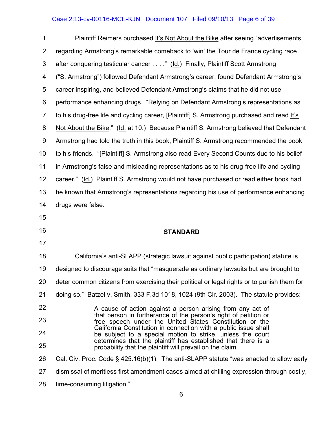# Case 2:13-cv-00116-MCE-KJN Document 107 Filed 09/10/13 Page 6 of 39

| 1              | Plaintiff Reimers purchased It's Not About the Bike after seeing "advertisements"                                             |
|----------------|-------------------------------------------------------------------------------------------------------------------------------|
| 2              | regarding Armstrong's remarkable comeback to 'win' the Tour de France cycling race                                            |
| 3              | after conquering testicular cancer" (Id.) Finally, Plaintiff Scott Armstrong                                                  |
| 4              | ("S. Armstrong") followed Defendant Armstrong's career, found Defendant Armstrong's                                           |
| 5              | career inspiring, and believed Defendant Armstrong's claims that he did not use                                               |
| 6              | performance enhancing drugs. "Relying on Defendant Armstrong's representations as                                             |
| $\overline{7}$ | to his drug-free life and cycling career, [Plaintiff] S. Armstrong purchased and read It's                                    |
| 8              | Not About the Bike." (Id. at 10.) Because Plaintiff S. Armstrong believed that Defendant                                      |
| 9              | Armstrong had told the truth in this book, Plaintiff S. Armstrong recommended the book                                        |
| 10             | to his friends. "[Plaintiff] S. Armstrong also read Every Second Counts due to his belief                                     |
| 11             | in Armstrong's false and misleading representations as to his drug-free life and cycling                                      |
| 12             | career." (Id.) Plaintiff S. Armstrong would not have purchased or read either book had                                        |
| 13             | he known that Armstrong's representations regarding his use of performance enhancing                                          |
| 14             | drugs were false.                                                                                                             |
| 15             |                                                                                                                               |
| 16             | <b>STANDARD</b>                                                                                                               |
| 17             |                                                                                                                               |
| 18             | California's anti-SLAPP (strategic lawsuit against public participation) statute is                                           |
| 19             | designed to discourage suits that "masquerade as ordinary lawsuits but are brought to                                         |
| 20             | deter common citizens from exercising their political or legal rights or to punish them for                                   |
| 21             | doing so." Batzel v. Smith, 333 F.3d 1018, 1024 (9th Cir. 2003). The statute provides:                                        |
| 22             |                                                                                                                               |
|                | A cause of action against a person arising from any act of                                                                    |
| 23             | that person in furtherance of the person's right of petition or<br>free speech under the United States Constitution or the    |
| 24             | California Constitution in connection with a public issue shall<br>be subject to a special motion to strike, unless the court |
| 25             | determines that the plaintiff has established that there is a<br>probability that the plaintiff will prevail on the claim.    |
| 26             | Cal. Civ. Proc. Code § 425.16(b)(1). The anti-SLAPP statute "was enacted to allow early                                       |
| 27             | dismissal of meritless first amendment cases aimed at chilling expression through costly,                                     |
| 28             | time-consuming litigation."                                                                                                   |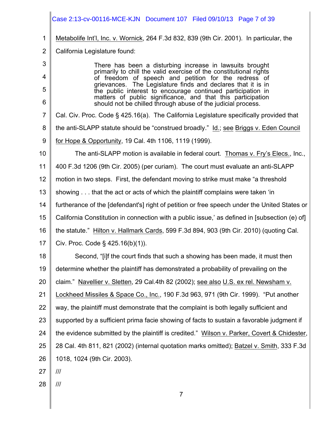|                | Case 2:13-cv-00116-MCE-KJN Document 107 Filed 09/10/13 Page 7 of 39                                                         |
|----------------|-----------------------------------------------------------------------------------------------------------------------------|
| 1              | Metabolife Int'l, Inc. v. Wornick, 264 F.3d 832, 839 (9th Cir. 2001). In particular, the                                    |
| $\overline{2}$ | California Legislature found:                                                                                               |
| 3              | There has been a disturbing increase in lawsuits brought                                                                    |
| 4              | primarily to chill the valid exercise of the constitutional rights<br>of freedom of speech and petition for the redress of  |
| 5              | grievances. The Legislature finds and declares that it is in<br>the public interest to encourage continued participation in |
| 6              | matters of public significance, and that this participation<br>should not be chilled through abuse of the judicial process. |
| $\overline{7}$ | Cal. Civ. Proc. Code § 425.16(a). The California Legislature specifically provided that                                     |
| 8              | the anti-SLAPP statute should be "construed broadly." Id.; see Briggs v. Eden Council                                       |
| 9              | for Hope & Opportunity, 19 Cal. 4th 1106, 1119 (1999).                                                                      |
| 10             | The anti-SLAPP motion is available in federal court. Thomas v. Fry's Elecs., Inc.,                                          |
| 11             | 400 F.3d 1206 (9th Cir. 2005) (per curiam). The court must evaluate an anti-SLAPP                                           |
| 12             | motion in two steps. First, the defendant moving to strike must make "a threshold                                           |
| 13             | showing that the act or acts of which the plaintiff complains were taken 'in                                                |
| 14             | furtherance of the [defendant's] right of petition or free speech under the United States or                                |
| 15             | California Constitution in connection with a public issue,' as defined in [subsection (e) of]                               |
| 16             | the statute." Hilton v. Hallmark Cards, 599 F.3d 894, 903 (9th Cir. 2010) (quoting Cal.                                     |
| 17             | Civ. Proc. Code § 425.16(b)(1)).                                                                                            |
| 18             | Second, "[i]f the court finds that such a showing has been made, it must then                                               |
| 19             | determine whether the plaintiff has demonstrated a probability of prevailing on the                                         |
| 20             | claim." Navellier v. Sletten, 29 Cal.4th 82 (2002); see also U.S. ex rel. Newsham v.                                        |
| 21             | Lockheed Missiles & Space Co., Inc., 190 F.3d 963, 971 (9th Cir. 1999). "Put another                                        |
| 22             | way, the plaintiff must demonstrate that the complaint is both legally sufficient and                                       |
| 23             | supported by a sufficient prima facie showing of facts to sustain a favorable judgment if                                   |
| 24             | the evidence submitted by the plaintiff is credited." Wilson v. Parker, Covert & Chidester,                                 |
| 25             | 28 Cal. 4th 811, 821 (2002) (internal quotation marks omitted); Batzel v. Smith, 333 F.3d                                   |
| 26             | 1018, 1024 (9th Cir. 2003).                                                                                                 |
| 27             | III                                                                                                                         |
| 28             | III                                                                                                                         |
|                | $\overline{7}$                                                                                                              |
|                |                                                                                                                             |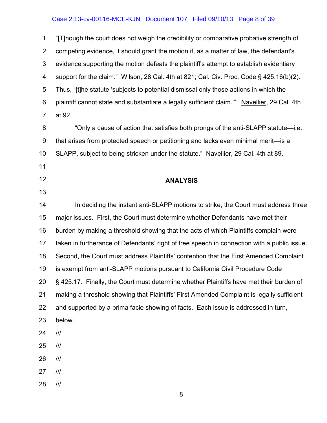# Case 2:13-cv-00116-MCE-KJN Document 107 Filed 09/10/13 Page 8 of 39

1 2 3 4 5 6 7 8 9 10 11 12 13 14 15 16 17 18 19 20 21 22 23 24 25 26 27 28 8 "[T]hough the court does not weigh the credibility or comparative probative strength of competing evidence, it should grant the motion if, as a matter of law, the defendant's evidence supporting the motion defeats the plaintiff's attempt to establish evidentiary support for the claim." Wilson, 28 Cal. 4th at 821; Cal. Civ. Proc. Code § 425.16(b)(2). Thus, "[t]he statute 'subjects to potential dismissal only those actions in which the plaintiff cannot state and substantiate a legally sufficient claim.'" Navellier, 29 Cal. 4th at 92. "Only a cause of action that satisfies both prongs of the anti-SLAPP statute—i.e., that arises from protected speech or petitioning and lacks even minimal merit—is a SLAPP, subject to being stricken under the statute." Navellier, 29 Cal. 4th at 89. **ANALYSIS** In deciding the instant anti-SLAPP motions to strike, the Court must address three major issues. First, the Court must determine whether Defendants have met their burden by making a threshold showing that the acts of which Plaintiffs complain were taken in furtherance of Defendants' right of free speech in connection with a public issue. Second, the Court must address Plaintiffs' contention that the First Amended Complaint is exempt from anti-SLAPP motions pursuant to California Civil Procedure Code § 425.17. Finally, the Court must determine whether Plaintiffs have met their burden of making a threshold showing that Plaintiffs' First Amended Complaint is legally sufficient and supported by a prima facie showing of facts. Each issue is addressed in turn, below. /// /// /// /// ///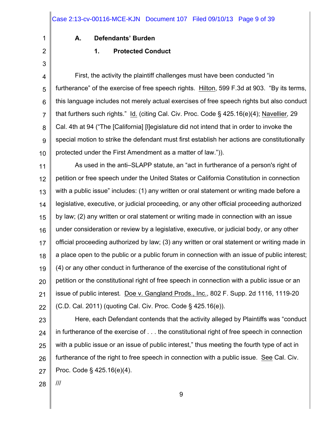#### **A. Defendants' Burden**

2 3

1

# **1. Protected Conduct**

4 5 6 7 8 9 10 First, the activity the plaintiff challenges must have been conducted "in furtherance" of the exercise of free speech rights. Hilton, 599 F.3d at 903. "By its terms, this language includes not merely actual exercises of free speech rights but also conduct that furthers such rights." Id. (citing Cal. Civ. Proc. Code § 425.16(e)(4); Navellier*,* 29 Cal. 4th at 94 ("The [California] [l]egislature did not intend that in order to invoke the special motion to strike the defendant must first establish her actions are constitutionally protected under the First Amendment as a matter of law.")).

11 12 13 14 15 16 17 18 19 20 21 22 As used in the anti–SLAPP statute, an "act in furtherance of a person's right of petition or free speech under the United States or California Constitution in connection with a public issue" includes: (1) any written or oral statement or writing made before a legislative, executive, or judicial proceeding, or any other official proceeding authorized by law; (2) any written or oral statement or writing made in connection with an issue under consideration or review by a legislative, executive, or judicial body, or any other official proceeding authorized by law; (3) any written or oral statement or writing made in a place open to the public or a public forum in connection with an issue of public interest; (4) or any other conduct in furtherance of the exercise of the constitutional right of petition or the constitutional right of free speech in connection with a public issue or an issue of public interest*.* Doe v. Gangland Prods., Inc., 802 F. Supp. 2d 1116, 1119-20 (C.D. Cal. 2011) (quoting Cal. Civ. Proc. Code § 425.16(e)).

23 24 25 26 27 Here, each Defendant contends that the activity alleged by Plaintiffs was "conduct in furtherance of the exercise of . . . the constitutional right of free speech in connection with a public issue or an issue of public interest," thus meeting the fourth type of act in furtherance of the right to free speech in connection with a public issue. See Cal. Civ. Proc. Code § 425.16(e)(4).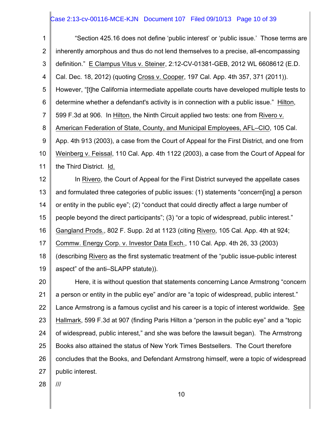# Case 2:13-cv-00116-MCE-KJN Document 107 Filed 09/10/13 Page 10 of 39

| 1              | "Section 425.16 does not define 'public interest' or 'public issue.' Those terms are       |
|----------------|--------------------------------------------------------------------------------------------|
| $\overline{2}$ | inherently amorphous and thus do not lend themselves to a precise, all-encompassing        |
| 3              | definition." E Clampus Vitus v. Steiner, 2:12-CV-01381-GEB, 2012 WL 6608612 (E.D.          |
| 4              | Cal. Dec. 18, 2012) (quoting Cross v. Cooper, 197 Cal. App. 4th 357, 371 (2011)).          |
| 5              | However, "[t]he California intermediate appellate courts have developed multiple tests to  |
| 6              | determine whether a defendant's activity is in connection with a public issue." Hilton,    |
| $\overline{7}$ | 599 F.3d at 906. In Hilton, the Ninth Circuit applied two tests: one from Rivero v.        |
| 8              | American Federation of State, County, and Municipal Employees, AFL–CIO, 105 Cal.           |
| 9              | App. 4th 913 (2003), a case from the Court of Appeal for the First District, and one from  |
| 10             | Weinberg v. Feissal, 110 Cal. App. 4th 1122 (2003), a case from the Court of Appeal for    |
| 11             | the Third District. Id.                                                                    |
| 12             | In Rivero, the Court of Appeal for the First District surveyed the appellate cases         |
| 13             | and formulated three categories of public issues: (1) statements "concern[ing] a person    |
| 14             | or entity in the public eye"; (2) "conduct that could directly affect a large number of    |
| 15             | people beyond the direct participants"; (3) "or a topic of widespread, public interest."   |
| 16             | Gangland Prods., 802 F. Supp. 2d at 1123 (citing Rivero, 105 Cal. App. 4th at 924;         |
| 17             | Commw. Energy Corp. v. Investor Data Exch., 110 Cal. App. 4th 26, 33 (2003)                |
| 18             | (describing Rivero as the first systematic treatment of the "public issue-public interest  |
| 19             | aspect" of the anti-SLAPP statute)).                                                       |
| 20             | Here, it is without question that statements concerning Lance Armstrong "concern"          |
| 21             | a person or entity in the public eye" and/or are "a topic of widespread, public interest." |
| 22             | Lance Armstrong is a famous cyclist and his career is a topic of interest worldwide. See   |
| 23             | Hallmark, 599 F.3d at 907 (finding Paris Hilton a "person in the public eye" and a "topic  |
| 24             | of widespread, public interest," and she was before the lawsuit began). The Armstrong      |
| 25             | Books also attained the status of New York Times Bestsellers. The Court therefore          |
| 26             | concludes that the Books, and Defendant Armstrong himself, were a topic of widespread      |
| 27             | public interest.                                                                           |

28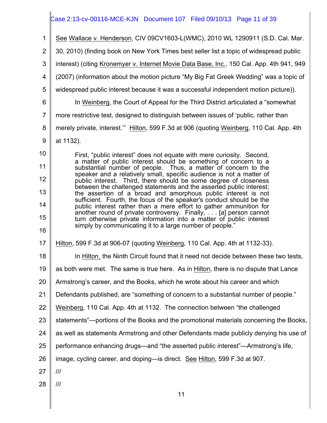# Case 2:13-cv-00116-MCE-KJN Document 107 Filed 09/10/13 Page 11 of 39

| 1              | See Wallace v. Henderson, CIV 09CV1603-L(WMC), 2010 WL 1290911 (S.D. Cal. Mar.                                                             |
|----------------|--------------------------------------------------------------------------------------------------------------------------------------------|
| $\overline{2}$ | 30, 2010) (finding book on New York Times best seller list a topic of widespread public                                                    |
| 3              | interest) (citing Kronemyer v. Internet Movie Data Base, Inc., 150 Cal. App. 4th 941, 949                                                  |
| 4              | (2007) (information about the motion picture "My Big Fat Greek Wedding" was a topic of                                                     |
| 5              | widespread public interest because it was a successful independent motion picture)).                                                       |
| 6              | In Weinberg, the Court of Appeal for the Third District articulated a "somewhat"                                                           |
| $\overline{7}$ | more restrictive test, designed to distinguish between issues of 'public, rather than                                                      |
| 8              | merely private, interest." Hilton, 599 F.3d at 906 (quoting Weinberg, 110 Cal. App. 4th                                                    |
| 9              | at 1132).                                                                                                                                  |
| 10             | First, "public interest" does not equate with mere curiosity. Second,                                                                      |
| 11             | a matter of public interest should be something of concern to a<br>substantial number of people. Thus, a matter of concern to the          |
| 12             | speaker and a relatively small, specific audience is not a matter of<br>public interest. Third, there should be some degree of closeness   |
| 13             | between the challenged statements and the asserted public interest;<br>the assertion of a broad and amorphous public interest is not       |
| 14             | sufficient. Fourth, the focus of the speaker's conduct should be the<br>public interest rather than a mere effort to gather ammunition for |
| 15             | another round of private controversy. Finally,  [a] person cannot<br>turn otherwise private information into a matter of public interest   |
| 16             | simply by communicating it to a large number of people."                                                                                   |
| 17             | Hilton, 599 F.3d at 906-07 (quoting Weinberg, 110 Cal. App. 4th at 1132-33).                                                               |
| 18             | In Hilton, the Ninth Circuit found that it need not decide between these two tests,                                                        |
| 19             | as both were met. The same is true here. As in Hilton, there is no dispute that Lance                                                      |
| 20             | Armstrong's career, and the Books, which he wrote about his career and which                                                               |
| 21             | Defendants published, are "something of concern to a substantial number of people."                                                        |
| 22             | Weinberg, 110 Cal. App. 4th at 1132. The connection between "the challenged"                                                               |
| 23             | statements"—portions of the Books and the promotional materials concerning the Books,                                                      |
| 24             | as well as statements Armstrong and other Defendants made publicly denying his use of                                                      |
| 25             | performance enhancing drugs—and "the asserted public interest"—Armstrong's life,                                                           |
| 26             | image, cycling career, and doping—is direct. See Hilton, 599 F.3d at 907.                                                                  |
| 27             |                                                                                                                                            |
| 28             | $\frac{1}{1}$                                                                                                                              |
|                | 11                                                                                                                                         |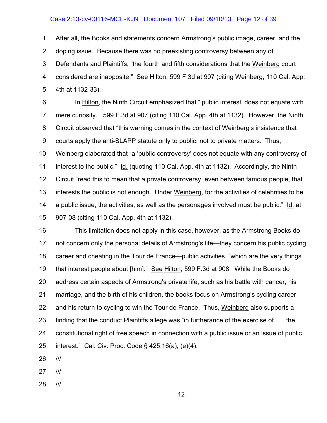# Case 2:13-cv-00116-MCE-KJN Document 107 Filed 09/10/13 Page 12 of 39

1 2 3 4 5 After all, the Books and statements concern Armstrong's public image, career, and the doping issue. Because there was no preexisting controversy between any of Defendants and Plaintiffs, "the fourth and fifth considerations that the Weinberg court considered are inapposite." See Hilton, 599 F.3d at 907 (citing Weinberg, 110 Cal. App. 4th at 1132-33).

6 7 8 9 10 11 12 13 14 15 In Hilton, the Ninth Circuit emphasized that "'public interest' does not equate with mere curiosity." 599 F.3d at 907 (citing 110 Cal. App. 4th at 1132). However, the Ninth Circuit observed that "this warning comes in the context of Weinberg's insistence that courts apply the anti-SLAPP statute only to public, not to private matters. Thus, Weinberg elaborated that "a 'public controversy' does not equate with any controversy of interest to the public." Id. (quoting 110 Cal. App. 4th at 1132). Accordingly, the Ninth Circuit "read this to mean that a private controversy, even between famous people, that interests the public is not enough. Under Weinberg, for the activities of celebrities to be a public issue, the activities, as well as the personages involved must be public." Id. at 907-08 (citing 110 Cal. App. 4th at 1132).

16 17 18 19 20 21 22 23 24 25 This limitation does not apply in this case, however, as the Armstrong Books do not concern only the personal details of Armstrong's life—they concern his public cycling career and cheating in the Tour de France—public activities, "which are the very things that interest people about [him]." See Hilton, 599 F.3d at 908. While the Books do address certain aspects of Armstrong's private life, such as his battle with cancer, his marriage, and the birth of his children, the books focus on Armstrong's cycling career and his return to cycling to win the Tour de France. Thus, Weinberg also supports a finding that the conduct Plaintiffs allege was "in furtherance of the exercise of . . . the constitutional right of free speech in connection with a public issue or an issue of public interest." Cal. Civ. Proc. Code § 425.16(a), (e)(4).

- 27 ///
- 28 ///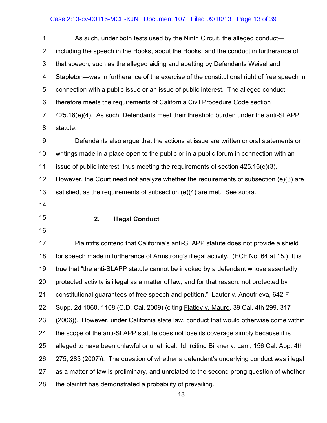# Case 2:13-cv-00116-MCE-KJN Document 107 Filed 09/10/13 Page 13 of 39

1 2 3 4 5 6 7 8 As such, under both tests used by the Ninth Circuit, the alleged conduct including the speech in the Books, about the Books, and the conduct in furtherance of that speech, such as the alleged aiding and abetting by Defendants Weisel and Stapleton—was in furtherance of the exercise of the constitutional right of free speech in connection with a public issue or an issue of public interest. The alleged conduct therefore meets the requirements of California Civil Procedure Code section 425.16(e)(4). As such, Defendants meet their threshold burden under the anti-SLAPP statute.

9 10 11 12 13 Defendants also argue that the actions at issue are written or oral statements or writings made in a place open to the public or in a public forum in connection with an issue of public interest, thus meeting the requirements of section 425.16(e)(3). However, the Court need not analyze whether the requirements of subsection (e)(3) are satisfied, as the requirements of subsection (e)(4) are met. See supra.

14

# 15

#### **2. Illegal Conduct**

16

17 18 19 20 21 22 23 24 25 26 27 28 Plaintiffs contend that California's anti-SLAPP statute does not provide a shield for speech made in furtherance of Armstrong's illegal activity. (ECF No. 64 at 15.) It is true that "the anti-SLAPP statute cannot be invoked by a defendant whose assertedly protected activity is illegal as a matter of law, and for that reason, not protected by constitutional guarantees of free speech and petition." Lauter v. Anoufrieva, 642 F. Supp. 2d 1060, 1108 (C.D. Cal. 2009) (citing Flatley v. Mauro, 39 Cal. 4th 299, 317 (2006)). However, under California state law, conduct that would otherwise come within the scope of the anti-SLAPP statute does not lose its coverage simply because it is alleged to have been unlawful or unethical. Id. (citing Birkner v. Lam, 156 Cal. App. 4th 275, 285 (2007)). The question of whether a defendant's underlying conduct was illegal as a matter of law is preliminary, and unrelated to the second prong question of whether the plaintiff has demonstrated a probability of prevailing.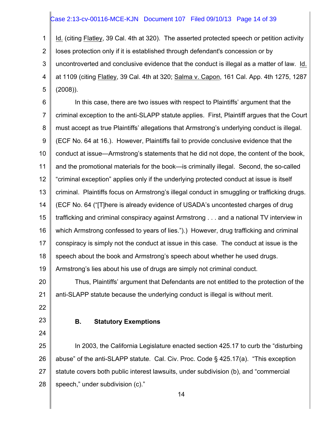# Case 2:13-cv-00116-MCE-KJN Document 107 Filed 09/10/13 Page 14 of 39

1 2 3 4 5 Id. (citing Flatley, 39 Cal. 4th at 320). The asserted protected speech or petition activity loses protection only if it is established through defendant's concession or by uncontroverted and conclusive evidence that the conduct is illegal as a matter of law. Id. at 1109 (citing Flatley, 39 Cal. 4th at 320; Salma v. Capon, 161 Cal. App. 4th 1275, 1287 (2008)).

6 7 8 9 10 11 12 13 14 15 16 17 18 In this case, there are two issues with respect to Plaintiffs' argument that the criminal exception to the anti-SLAPP statute applies. First, Plaintiff argues that the Court must accept as true Plaintiffs' allegations that Armstrong's underlying conduct is illegal. (ECF No. 64 at 16.). However, Plaintiffs fail to provide conclusive evidence that the conduct at issue—Armstrong's statements that he did not dope, the content of the book, and the promotional materials for the book—is criminally illegal. Second, the so-called "criminal exception" applies only if the underlying protected conduct at issue is itself criminal. Plaintiffs focus on Armstrong's illegal conduct in smuggling or trafficking drugs. (ECF No. 64 ("[T]here is already evidence of USADA's uncontested charges of drug trafficking and criminal conspiracy against Armstrong . . . and a national TV interview in which Armstrong confessed to years of lies.").) However, drug trafficking and criminal conspiracy is simply not the conduct at issue in this case. The conduct at issue is the speech about the book and Armstrong's speech about whether he used drugs.

19 Armstrong's lies about his use of drugs are simply not criminal conduct.

20 21 Thus, Plaintiffs' argument that Defendants are not entitled to the protection of the anti-SLAPP statute because the underlying conduct is illegal is without merit.

- 22
- 23 24

# **B. Statutory Exemptions**

25 26 27 28 In 2003, the California Legislature enacted section 425.17 to curb the "disturbing abuse" of the anti-SLAPP statute. Cal. Civ. Proc. Code § 425.17(a). "This exception statute covers both public interest lawsuits, under subdivision (b), and "commercial speech," under subdivision (c)."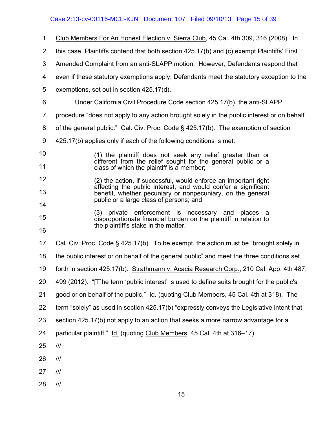# Case 2:13-cv-00116-MCE-KJN Document 107 Filed 09/10/13 Page 15 of 39

| $\mathbf 1$    | Club Members For An Honest Election v. Sierra Club, 45 Cal. 4th 309, 316 (2008). In                                          |
|----------------|------------------------------------------------------------------------------------------------------------------------------|
| 2              | this case, Plaintiffs contend that both section 425.17(b) and (c) exempt Plaintiffs' First                                   |
| 3              | Amended Complaint from an anti-SLAPP motion. However, Defendants respond that                                                |
| 4              | even if these statutory exemptions apply, Defendants meet the statutory exception to the                                     |
| 5              | exemptions, set out in section 425.17(d).                                                                                    |
| 6              | Under California Civil Procedure Code section 425.17(b), the anti-SLAPP                                                      |
| $\overline{7}$ | procedure "does not apply to any action brought solely in the public interest or on behalf                                   |
| 8              | of the general public." Cal. Civ. Proc. Code § 425.17(b). The exemption of section                                           |
| 9              | 425.17(b) applies only if each of the following conditions is met:                                                           |
| 10             | (1) the plaintiff does not seek any relief greater than or                                                                   |
| 11             | different from the relief sought for the general public or a<br>class of which the plaintiff is a member;                    |
| 12             | (2) the action, if successful, would enforce an important right                                                              |
| 13             | affecting the public interest, and would confer a significant<br>benefit, whether pecuniary or nonpecuniary, on the general  |
| 14             | public or a large class of persons; and                                                                                      |
| 15             | (3)<br>private enforcement is necessary and<br>places a<br>disproportionate financial burden on the plaintiff in relation to |
| 16             | the plaintiff's stake in the matter.                                                                                         |
| 17             | Cal. Civ. Proc. Code § 425.17(b). To be exempt, the action must be "brought solely in                                        |
| 18             | the public interest or on behalf of the general public" and meet the three conditions set                                    |
| 19             | forth in section 425.17(b). Strathmann v. Acacia Research Corp., 210 Cal. App. 4th 487,                                      |
| 20             | 499 (2012). "[T]he term 'public interest' is used to define suits brought for the public's                                   |
| 21             | good or on behalf of the public." Id. (quoting Club Members, 45 Cal. 4th at 318). The                                        |
| 22             | term "solely" as used in section 425.17(b) "expressly conveys the Legislative intent that                                    |
| 23             | section 425.17(b) not apply to an action that seeks a more narrow advantage for a                                            |
| 24             | particular plaintiff." Id. (quoting Club Members, 45 Cal. 4th at 316-17).                                                    |
| 25             | III                                                                                                                          |
| 26             | III                                                                                                                          |
| 27             | III                                                                                                                          |
| 28             | $^{\prime\prime\prime}$                                                                                                      |
|                | 15                                                                                                                           |
|                |                                                                                                                              |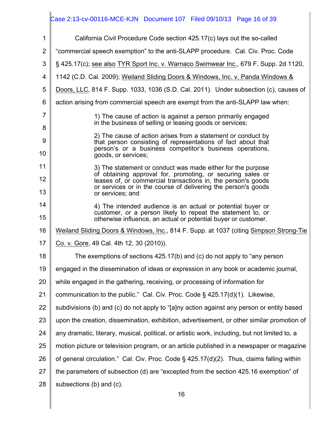#### 1 2 3 4 5 6 7 8 9 10 11 12 13 14 15 16 17 18 19 20 21 22 23 24 25 26 27 28 16 California Civil Procedure Code section 425.17(c) lays out the so-called "commercial speech exemption" to the anti-SLAPP procedure. Cal. Civ. Proc. Code § 425.17(c); see also TYR Sport Inc. v. Warnaco Swimwear Inc., 679 F. Supp. 2d 1120, 1142 (C.D. Cal. 2009); Weiland Sliding Doors & Windows, Inc. v. Panda Windows & Doors, LLC, 814 F. Supp. 1033, 1036 (S.D. Cal. 2011). Under subsection (c), causes of action arising from commercial speech are exempt from the anti-SLAPP law when: 1) The cause of action is against a person primarily engaged in the business of selling or leasing goods or services; 2) The cause of action arises from a statement or conduct by that person consisting of representations of fact about that person's or a business competitor's business operations, goods, or services; 3) The statement or conduct was made either for the purpose of obtaining approval for, promoting, or securing sales or leases of, or commercial transactions in, the person's goods or services or in the course of delivering the person's goods or services; and 4) The intended audience is an actual or potential buyer or customer, or a person likely to repeat the statement to, or otherwise influence, an actual or potential buyer or customer. Weiland Sliding Doors & Windows, Inc., 814 F. Supp. at 1037 (citing Simpson Strong-Tie Co. v. Gore, 49 Cal. 4th 12, 30 (2010)). The exemptions of sections 425.17(b) and (c) do not apply to "any person engaged in the dissemination of ideas or expression in any book or academic journal, while engaged in the gathering, receiving, or processing of information for communication to the public." Cal. Civ. Proc. Code  $\S$  425.17(d)(1). Likewise, subdivisions (b) and (c) do not apply to "[a]ny action against any person or entity based upon the creation, dissemination, exhibition, advertisement, or other similar promotion of any dramatic, literary, musical, political, or artistic work, including, but not limited to, a motion picture or television program, or an article published in a newspaper or magazine of general circulation." Cal. Civ. Proc. Code § 425.17(d)(2). Thus, claims falling within the parameters of subsection (d) are "excepted from the section 425.16 exemption" of subsections (b) and (c). Case 2:13-cv-00116-MCE-KJN Document 107 Filed 09/10/13 Page 16 of 39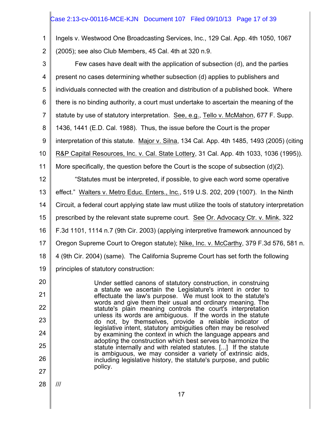# Case 2:13-cv-00116-MCE-KJN Document 107 Filed 09/10/13 Page 17 of 39

1 2 Ingels v. Westwood One Broadcasting Services, Inc., 129 Cal. App. 4th 1050, 1067 (2005); see also Club Members, 45 Cal. 4th at 320 n.9.

3 4 5 6 7 8 9 10 11 12 13 14 15 16 17 18 19 20 Few cases have dealt with the application of subsection (d), and the parties present no cases determining whether subsection (d) applies to publishers and individuals connected with the creation and distribution of a published book. Where there is no binding authority, a court must undertake to ascertain the meaning of the statute by use of statutory interpretation. See, e.g., Tello v. McMahon, 677 F. Supp. 1436, 1441 (E.D. Cal. 1988). Thus, the issue before the Court is the proper interpretation of this statute. Major v. Silna, 134 Cal. App. 4th 1485, 1493 (2005) (citing R&P Capital Resources, Inc. v. Cal. State Lottery, 31 Cal. App. 4th 1033, 1036 (1995)). More specifically, the question before the Court is the scope of subsection (d)(2). "Statutes must be interpreted, if possible, to give each word some operative effect." Walters v. Metro Educ. Enters., Inc., 519 U.S. 202, 209 (1007). In the Ninth Circuit, a federal court applying state law must utilize the tools of statutory interpretation prescribed by the relevant state supreme court. See Or. Advocacy Ctr. v. Mink, 322 F.3d 1101, 1114 n.7 (9th Cir. 2003) (applying interpretive framework announced by Oregon Supreme Court to Oregon statute); Nike, Inc. v. McCarthy, 379 F.3d 576, 581 n. 4 (9th Cir. 2004) (same). The California Supreme Court has set forth the following principles of statutory construction: Under settled canons of statutory construction, in construing

21 22 23 24 25 26 27 a statute we ascertain the Legislature's intent in order to effectuate the law's purpose. We must look to the statute's words and give them their usual and ordinary meaning. The statute's plain meaning controls the court's interpretation unless its words are ambiguous. If the words in the statute do not, by themselves, provide a reliable indicator of legislative intent, statutory ambiguities often may be resolved by examining the context in which the language appears and adopting the construction which best serves to harmonize the statute internally and with related statutes. [...] If the statute is ambiguous, we may consider a variety of extrinsic aids, including legislative history, the statute's purpose, and public policy.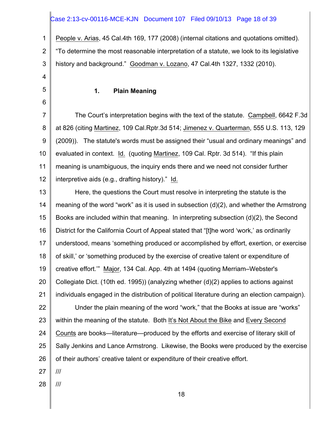# Case 2:13-cv-00116-MCE-KJN Document 107 Filed 09/10/13 Page 18 of 39

1 2 3 People v. Arias, 45 Cal.4th 169, 177 (2008) (internal citations and quotations omitted). "To determine the most reasonable interpretation of a statute, we look to its legislative history and background." Goodman v. Lozano, 47 Cal.4th 1327, 1332 (2010).

5

6

4

#### **1. Plain Meaning**

7 8 9 10 11 12 The Court's interpretation begins with the text of the statute. Campbell, 6642 F.3d at 826 (citing Martinez, 109 Cal.Rptr.3d 514; Jimenez v. Quarterman, 555 U.S. 113, 129 (2009)). The statute's words must be assigned their "usual and ordinary meanings" and evaluated in context. Id. (quoting Martinez, 109 Cal. Rptr. 3d 514). "If this plain meaning is unambiguous, the inquiry ends there and we need not consider further interpretive aids (e.g., drafting history)." Id.

13 14 15 16 17 18 19 20 21 22 23 24 25 26 27 Here, the questions the Court must resolve in interpreting the statute is the meaning of the word "work" as it is used in subsection (d)(2), and whether the Armstrong Books are included within that meaning. In interpreting subsection (d)(2), the Second District for the California Court of Appeal stated that "[t]he word 'work,' as ordinarily understood, means 'something produced or accomplished by effort, exertion, or exercise of skill,' or 'something produced by the exercise of creative talent or expenditure of creative effort.'" Major, 134 Cal. App. 4th at 1494 (quoting Merriam–Webster's Collegiate Dict. (10th ed. 1995)) (analyzing whether (d)(2) applies to actions against individuals engaged in the distribution of political literature during an election campaign). Under the plain meaning of the word "work," that the Books at issue are "works" within the meaning of the statute. Both It's Not About the Bike and Every Second Counts are books—literature—produced by the efforts and exercise of literary skill of Sally Jenkins and Lance Armstrong. Likewise, the Books were produced by the exercise of their authors' creative talent or expenditure of their creative effort. ///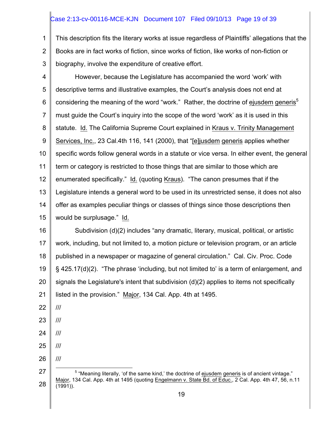# Case 2:13-cv-00116-MCE-KJN Document 107 Filed 09/10/13 Page 19 of 39

1 2 3 This description fits the literary works at issue regardless of Plaintiffs' allegations that the Books are in fact works of fiction, since works of fiction, like works of non-fiction or biography, involve the expenditure of creative effort.

4 5 6 7 8 9 10 11 12 13 14 15 However, because the Legislature has accompanied the word 'work' with descriptive terms and illustrative examples, the Court's analysis does not end at considering the meaning of the word "work." Rather, the doctrine of ejusdem generis<sup>5</sup> must guide the Court's inquiry into the scope of the word 'work' as it is used in this statute. Id. The California Supreme Court explained in Kraus v. Trinity Management Services, Inc., 23 Cal.4th 116, 141 (2000), that "[e]jusdem generis applies whether specific words follow general words in a statute or vice versa. In either event, the general term or category is restricted to those things that are similar to those which are enumerated specifically." Id. (quoting Kraus). "The canon presumes that if the Legislature intends a general word to be used in its unrestricted sense, it does not also offer as examples peculiar things or classes of things since those descriptions then would be surplusage." Id.

16 17 18 19 20 21 Subdivision (d)(2) includes "any dramatic, literary, musical, political, or artistic work, including, but not limited to, a motion picture or television program, or an article published in a newspaper or magazine of general circulation." Cal. Civ. Proc. Code § 425.17(d)(2). "The phrase 'including, but not limited to' is a term of enlargement, and signals the Legislature's intent that subdivision (d)(2) applies to items not specifically listed in the provision." Major, 134 Cal. App. 4th at 1495.

22 ///

- 23 ///
- 24 ///
- 25 ///
- 26

<sup>27</sup> 28 <sup>5</sup> "Meaning literally, 'of the same kind,' the doctrine of ejusdem generis is of ancient vintage." Major, 134 Cal. App. 4th at 1495 (quoting Engelmann v. State Bd. of Educ., 2 Cal. App. 4th 47, 56, n.11 (1991)).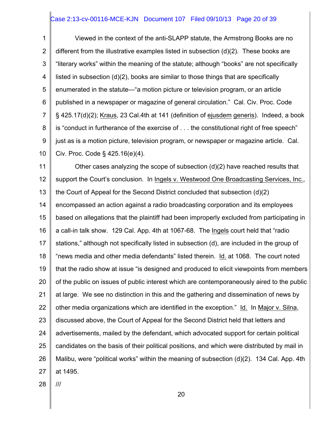# Case 2:13-cv-00116-MCE-KJN Document 107 Filed 09/10/13 Page 20 of 39

1 2 3 4 5 6 7 8 9 10 Viewed in the context of the anti-SLAPP statute, the Armstrong Books are no different from the illustrative examples listed in subsection (d)(2). These books are "literary works" within the meaning of the statute; although "books" are not specifically listed in subsection (d)(2), books are similar to those things that are specifically enumerated in the statute—"a motion picture or television program, or an article published in a newspaper or magazine of general circulation." Cal. Civ. Proc. Code § 425.17(d)(2); Kraus, 23 Cal.4th at 141 (definition of ejusdem generis). Indeed, a book is "conduct in furtherance of the exercise of . . . the constitutional right of free speech" just as is a motion picture, television program, or newspaper or magazine article. Cal. Civ. Proc. Code § 425.16(e)(4).

11 12 13 14 15 16 17 18 19 20 21 22 23 24 25 26 27 Other cases analyzing the scope of subsection (d)(2) have reached results that support the Court's conclusion. In Ingels v. Westwood One Broadcasting Services, Inc., the Court of Appeal for the Second District concluded that subsection (d)(2) encompassed an action against a radio broadcasting corporation and its employees based on allegations that the plaintiff had been improperly excluded from participating in a call-in talk show. 129 Cal. App. 4th at 1067-68. The Ingels court held that "radio stations," although not specifically listed in subsection (d), are included in the group of "news media and other media defendants" listed therein. Id. at 1068. The court noted that the radio show at issue "is designed and produced to elicit viewpoints from members of the public on issues of public interest which are contemporaneously aired to the public at large. We see no distinction in this and the gathering and dissemination of news by other media organizations which are identified in the exception." Id. In Major v. Silna, discussed above, the Court of Appeal for the Second District held that letters and advertisements, mailed by the defendant, which advocated support for certain political candidates on the basis of their political positions, and which were distributed by mail in Malibu, were "political works" within the meaning of subsection (d)(2). 134 Cal. App. 4th at 1495.

28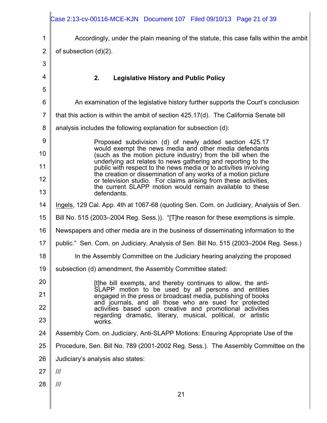|                | Case 2:13-cv-00116-MCE-KJN Document 107 Filed 09/10/13 Page 21 of 39                                                              |
|----------------|-----------------------------------------------------------------------------------------------------------------------------------|
| 1              | Accordingly, under the plain meaning of the statute, this case falls within the ambit                                             |
| $\overline{2}$ | of subsection $(d)(2)$ .                                                                                                          |
| 3              |                                                                                                                                   |
| 4              | 2.<br><b>Legislative History and Public Policy</b>                                                                                |
| 5              |                                                                                                                                   |
| 6              | An examination of the legislative history further supports the Court's conclusion                                                 |
| $\overline{7}$ | that this action is within the ambit of section 425.17(d). The California Senate bill                                             |
| 8              | analysis includes the following explanation for subsection (d):                                                                   |
| 9              | Proposed subdivision (d) of newly added section 425.17                                                                            |
| 10             | would exempt the news media and other media defendants<br>(such as the motion picture industry) from the bill when the            |
| 11             | underlying act relates to news gathering and reporting to the<br>public with respect to the news media or to activities involving |
| 12             | the creation or dissemination of any works of a motion picture<br>or television studio. For claims arising from these activities, |
| 13             | the current SLAPP motion would remain available to these<br>defendants.                                                           |
| 14             | Ingels, 129 Cal. App. 4th at 1067-68 (quoting Sen. Com. on Judiciary, Analysis of Sen.                                            |
| 15             | Bill No. 515 (2003–2004 Reg. Sess.)). "[T]he reason for these exemptions is simple.                                               |
| 16             | Newspapers and other media are in the business of disseminating information to the                                                |
| 17             | public." Sen. Com. on Judiciary, Analysis of Sen. Bill No. 515 (2003–2004 Reg. Sess.)                                             |
| 18             | In the Assembly Committee on the Judiciary hearing analyzing the proposed                                                         |
| 19             | subsection (d) amendment, the Assembly Committee stated:                                                                          |
| 20             | [t]he bill exempts, and thereby continues to allow, the anti-                                                                     |
| 21             | SLAPP motion to be used by all persons and entities<br>engaged in the press or broadcast media, publishing of books               |
| 22             | and journals, and all those who are sued for protected<br>activities based upon creative and promotional activities               |
| 23             | regarding dramatic, literary, musical, political, or artistic<br>works.                                                           |
| 24             | Assembly Com. on Judiciary, Anti-SLAPP Motions: Ensuring Appropriate Use of the                                                   |
| 25             | Procedure, Sen. Bill No. 789 (2001-2002 Reg. Sess.). The Assembly Committee on the                                                |
| 26             | Judiciary's analysis also states:                                                                                                 |
| 27             | $\frac{1}{1}$                                                                                                                     |
| 28             | III                                                                                                                               |
|                | 21                                                                                                                                |
|                |                                                                                                                                   |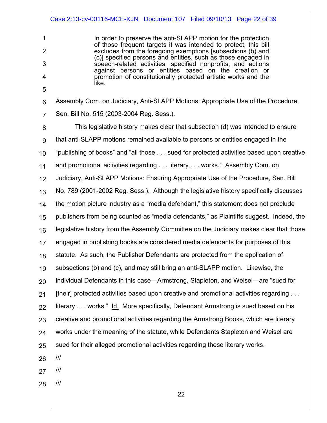|                | Case 2:13-cv-00116-MCE-KJN Document 107 Filed 09/10/13 Page 22 of 39                                                           |
|----------------|--------------------------------------------------------------------------------------------------------------------------------|
| 1              | In order to preserve the anti-SLAPP motion for the protection                                                                  |
| $\overline{2}$ | of those frequent targets it was intended to protect, this bill<br>excludes from the foregoing exemptions (subsections (b) and |
| 3              | (c)] specified persons and entities, such as those engaged in<br>speech-related activities, specified nonprofits, and actions  |
| 4              | against persons or entities based on the creation or<br>promotion of constitutionally protected artistic works and the         |
| 5              | like.                                                                                                                          |
| 6              | Assembly Com. on Judiciary, Anti-SLAPP Motions: Appropriate Use of the Procedure,                                              |
| $\overline{7}$ | Sen. Bill No. 515 (2003-2004 Reg. Sess.).                                                                                      |
| 8              | This legislative history makes clear that subsection (d) was intended to ensure                                                |
| 9              | that anti-SLAPP motions remained available to persons or entities engaged in the                                               |
| 10             | "publishing of books" and "all those sued for protected activities based upon creative                                         |
| 11             | and promotional activities regarding literary works." Assembly Com. on                                                         |
| 12             | Judiciary, Anti-SLAPP Motions: Ensuring Appropriate Use of the Procedure, Sen. Bill                                            |
| 13             | No. 789 (2001-2002 Reg. Sess.). Although the legislative history specifically discusses                                        |
| 14             | the motion picture industry as a "media defendant," this statement does not preclude                                           |
| 15             | publishers from being counted as "media defendants," as Plaintiffs suggest. Indeed, the                                        |
| 16             | legislative history from the Assembly Committee on the Judiciary makes clear that those                                        |
| 17             | engaged in publishing books are considered media defendants for purposes of this                                               |
| 18             | statute. As such, the Publisher Defendants are protected from the application of                                               |
| 19             | subsections (b) and (c), and may still bring an anti-SLAPP motion. Likewise, the                                               |
| 20             | individual Defendants in this case—Armstrong, Stapleton, and Weisel—are "sued for                                              |
| 21             | [their] protected activities based upon creative and promotional activities regarding                                          |
| 22             | literary works." Id. More specifically, Defendant Armstrong is sued based on his                                               |
| 23             | creative and promotional activities regarding the Armstrong Books, which are literary                                          |
| 24             | works under the meaning of the statute, while Defendants Stapleton and Weisel are                                              |
| 25             | sued for their alleged promotional activities regarding these literary works.                                                  |
| 26             | ///                                                                                                                            |
| 27             | $\mathcal{H}$                                                                                                                  |
| 28             | $\mathcal{H}$                                                                                                                  |
|                | 22                                                                                                                             |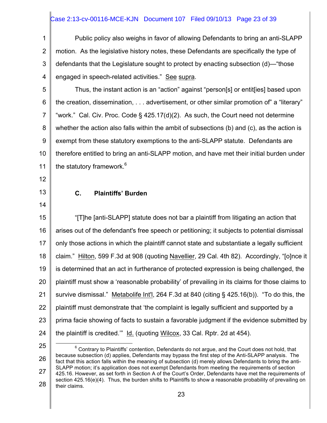# Case 2:13-cv-00116-MCE-KJN Document 107 Filed 09/10/13 Page 23 of 39

1 2 3 4 Public policy also weighs in favor of allowing Defendants to bring an anti-SLAPP motion. As the legislative history notes, these Defendants are specifically the type of defendants that the Legislature sought to protect by enacting subsection (d)—"those engaged in speech-related activities." See supra.

5 6 7 8 9 10 11 Thus, the instant action is an "action" against "person[s] or entit[ies] based upon the creation, dissemination, . . . advertisement, or other similar promotion of" a "literary" "work." Cal. Civ. Proc. Code § 425.17(d)(2). As such, the Court need not determine whether the action also falls within the ambit of subsections (b) and (c), as the action is exempt from these statutory exemptions to the anti-SLAPP statute. Defendants are therefore entitled to bring an anti-SLAPP motion, and have met their initial burden under the statutory framework.<sup>6</sup>

- 12
- 13

# **C. Plaintiffs' Burden**

14

15 16 17 18 19 20 21 22 23 24 "[T]he [anti-SLAPP] statute does not bar a plaintiff from litigating an action that arises out of the defendant's free speech or petitioning; it subjects to potential dismissal only those actions in which the plaintiff cannot state and substantiate a legally sufficient claim." Hilton, 599 F.3d at 908 (quoting Navellier, 29 Cal. 4th 82). Accordingly, "[o]nce it is determined that an act in furtherance of protected expression is being challenged, the plaintiff must show a 'reasonable probability' of prevailing in its claims for those claims to survive dismissal." Metabolife Int'l, 264 F.3d at 840 (citing § 425.16(b)). "To do this, the plaintiff must demonstrate that 'the complaint is legally sufficient and supported by a prima facie showing of facts to sustain a favorable judgment if the evidence submitted by the plaintiff is credited.'" Id. (quoting Wilcox, 33 Cal. Rptr. 2d at 454).

25

26 27 28  $6$  Contrary to Plaintiffs' contention, Defendants do not argue, and the Court does not hold, that because subsection (d) applies, Defendants may bypass the first step of the Anti-SLAPP analysis. The fact that this action falls within the meaning of subsection (d) merely allows Defendants to bring the anti-SLAPP motion; it's application does not exempt Defendants from meeting the requirements of section 425.16. However, as set forth in Section A of the Court's Order, Defendants have met the requirements of section 425.16(e)(4). Thus, the burden shifts to Plaintiffs to show a reasonable probability of prevailing on their claims.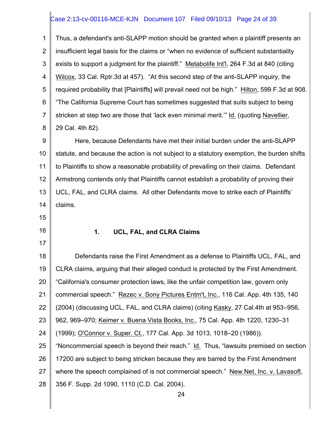# Case 2:13-cv-00116-MCE-KJN Document 107 Filed 09/10/13 Page 24 of 39

1 2 3 4 5 6 7 8 Thus, a defendant's anti-SLAPP motion should be granted when a plaintiff presents an insufficient legal basis for the claims or "when no evidence of sufficient substantiality exists to support a judgment for the plaintiff." Metabolife Int'l, 264 F.3d at 840 (citing Wilcox, 33 Cal. Rptr.3d at 457). "At this second step of the anti-SLAPP inquiry, the required probability that [Plaintiffs] will prevail need not be high." Hilton, 599 F.3d at 908. "The California Supreme Court has sometimes suggested that suits subject to being stricken at step two are those that 'lack even minimal merit.'" Id. (quoting Navellier, 29 Cal. 4th 82).

9 10 11 12 13 14 Here, because Defendants have met their initial burden under the anti-SLAPP statute, and because the action is not subject to a statutory exemption, the burden shifts to Plaintiffs to show a reasonable probability of prevailing on their claims. Defendant Armstrong contends only that Plaintiffs cannot establish a probability of proving their UCL, FAL, and CLRA claims. All other Defendants move to strike each of Plaintiffs' claims.

15

16 17

#### **1. UCL, FAL, and CLRA Claims**

18 19 20 21 22 23 24 25 26 27 28 Defendants raise the First Amendment as a defense to Plaintiffs UCL, FAL, and CLRA claims, arguing that their alleged conduct is protected by the First Amendment. "California's consumer protection laws, like the unfair competition law, govern only commercial speech." Rezec v. Sony Pictures Entm't, Inc., 116 Cal. App. 4th 135, 140 (2004) (discussing UCL, FAL, and CLRA claims) (citing Kasky, 27 Cal.4th at 953–956, 962, 969–970; Keimer v. Buena Vista Books, Inc., 75 Cal. App. 4th 1220, 1230–31 (1999); O'Connor v. Super. Ct., 177 Cal. App. 3d 1013, 1018–20 (1986)). "Noncommercial speech is beyond their reach." Id. Thus, "lawsuits premised on section 17200 are subject to being stricken because they are barred by the First Amendment where the speech complained of is not commercial speech." New.Net, Inc. v. Lavasoft, 356 F. Supp. 2d 1090, 1110 (C.D. Cal. 2004).

24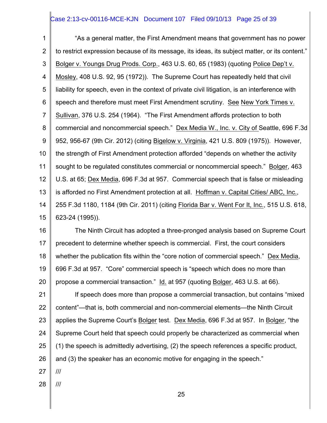# Case 2:13-cv-00116-MCE-KJN Document 107 Filed 09/10/13 Page 25 of 39

1 2 3 4 5 6 7 8 9 10 11 12 13 14 15 "As a general matter, the First Amendment means that government has no power to restrict expression because of its message, its ideas, its subject matter, or its content." Bolger v. Youngs Drug Prods. Corp., 463 U.S. 60, 65 (1983) (quoting Police Dep't v. Mosley, 408 U.S. 92, 95 (1972)). The Supreme Court has repeatedly held that civil liability for speech, even in the context of private civil litigation, is an interference with speech and therefore must meet First Amendment scrutiny. See New York Times v. Sullivan, 376 U.S. 254 (1964). "The First Amendment affords protection to both commercial and noncommercial speech." Dex Media W., Inc. v. City of Seattle, 696 F.3d 952, 956-67 (9th Cir. 2012) (citing Bigelow v. Virginia, 421 U.S. 809 (1975)). However, the strength of First Amendment protection afforded "depends on whether the activity sought to be regulated constitutes commercial or noncommercial speech." Bolger, 463 U.S. at 65; Dex Media, 696 F.3d at 957. Commercial speech that is false or misleading is afforded no First Amendment protection at all. Hoffman v. Capital Cities/ ABC, Inc., 255 F.3d 1180, 1184 (9th Cir. 2011) (citing Florida Bar v. Went For It, Inc., 515 U.S. 618, 623-24 (1995)).

16 17 18 19 20 The Ninth Circuit has adopted a three-pronged analysis based on Supreme Court precedent to determine whether speech is commercial. First, the court considers whether the publication fits within the "core notion of commercial speech." Dex Media, 696 F.3d at 957. "Core" commercial speech is "speech which does no more than propose a commercial transaction." Id. at 957 (quoting Bolger, 463 U.S. at 66).

21 22 23 24 25 26 If speech does more than propose a commercial transaction, but contains "mixed content"—that is, both commercial and non-commercial elements—the Ninth Circuit applies the Supreme Court's Bolger test. Dex Media, 696 F.3d at 957. In Bolger, "the Supreme Court held that speech could properly be characterized as commercial when (1) the speech is admittedly advertising, (2) the speech references a specific product, and (3) the speaker has an economic motive for engaging in the speech."

- 27 ///
- 28 ///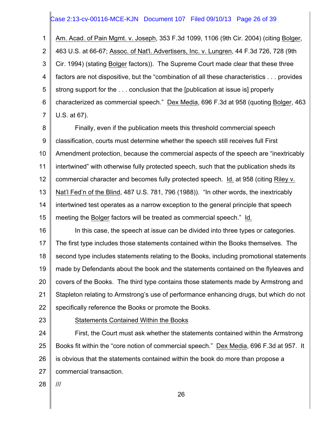# Case 2:13-cv-00116-MCE-KJN Document 107 Filed 09/10/13 Page 26 of 39

1 2 3 4 5 6 7 Am. Acad. of Pain Mgmt. v. Joseph, 353 F.3d 1099, 1106 (9th Cir. 2004) (citing Bolger, 463 U.S. at 66-67; Assoc. of Nat'l. Advertisers, Inc. v. Lungren, 44 F.3d 726, 728 (9th Cir. 1994) (stating Bolger factors)). The Supreme Court made clear that these three factors are not dispositive, but the "combination of all these characteristics . . . provides strong support for the . . . conclusion that the [publication at issue is] properly characterized as commercial speech." Dex Media, 696 F.3d at 958 (quoting Bolger, 463 U.S. at 67).

8 9 10 11 12 13 14 15 Finally, even if the publication meets this threshold commercial speech classification, courts must determine whether the speech still receives full First Amendment protection, because the commercial aspects of the speech are "inextricably intertwined" with otherwise fully protected speech, such that the publication sheds its commercial character and becomes fully protected speech. Id. at 958 (citing Riley v. Nat'l Fed'n of the Blind, 487 U.S. 781, 796 (1988)). "In other words, the inextricably intertwined test operates as a narrow exception to the general principle that speech meeting the Bolger factors will be treated as commercial speech." Id.

16 17 18 19 20 21 22 In this case, the speech at issue can be divided into three types or categories. The first type includes those statements contained within the Books themselves. The second type includes statements relating to the Books, including promotional statements made by Defendants about the book and the statements contained on the flyleaves and covers of the Books. The third type contains those statements made by Armstrong and Stapleton relating to Armstrong's use of performance enhancing drugs, but which do not specifically reference the Books or promote the Books.

23

Statements Contained Within the Books

24 25 26 27 First, the Court must ask whether the statements contained within the Armstrong Books fit within the "core notion of commercial speech." Dex Media, 696 F.3d at 957. It is obvious that the statements contained within the book do more than propose a commercial transaction.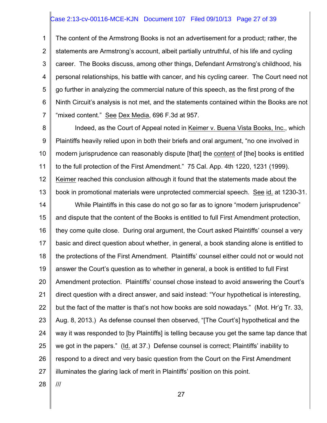#### Case 2:13-cv-00116-MCE-KJN Document 107 Filed 09/10/13 Page 27 of 39

1 2 3 4 5 6 7 The content of the Armstrong Books is not an advertisement for a product; rather, the statements are Armstrong's account, albeit partially untruthful, of his life and cycling career. The Books discuss, among other things, Defendant Armstrong's childhood, his personal relationships, his battle with cancer, and his cycling career. The Court need not go further in analyzing the commercial nature of this speech, as the first prong of the Ninth Circuit's analysis is not met, and the statements contained within the Books are not "mixed content." See Dex Media, 696 F.3d at 957.

8 9 10 11 12 13 Indeed, as the Court of Appeal noted in Keimer v. Buena Vista Books, Inc., which Plaintiffs heavily relied upon in both their briefs and oral argument, "no one involved in modern jurisprudence can reasonably dispute [that] the content of [the] books is entitled to the full protection of the First Amendment." 75 Cal. App. 4th 1220, 1231 (1999). Keimer reached this conclusion although it found that the statements made about the book in promotional materials were unprotected commercial speech. See id. at 1230-31.

14 15 16 17 18 19 20 21 22 23 24 25 26 27 While Plaintiffs in this case do not go so far as to ignore "modern jurisprudence" and dispute that the content of the Books is entitled to full First Amendment protection, they come quite close. During oral argument, the Court asked Plaintiffs' counsel a very basic and direct question about whether, in general, a book standing alone is entitled to the protections of the First Amendment. Plaintiffs' counsel either could not or would not answer the Court's question as to whether in general, a book is entitled to full First Amendment protection. Plaintiffs' counsel chose instead to avoid answering the Court's direct question with a direct answer, and said instead: "Your hypothetical is interesting, but the fact of the matter is that's not how books are sold nowadays." (Mot. Hr'g Tr. 33, Aug. 8, 2013.) As defense counsel then observed, "[The Court's] hypothetical and the way it was responded to [by Plaintiffs] is telling because you get the same tap dance that we got in the papers." (Id. at 37.) Defense counsel is correct; Plaintiffs' inability to respond to a direct and very basic question from the Court on the First Amendment illuminates the glaring lack of merit in Plaintiffs' position on this point.

28

///

27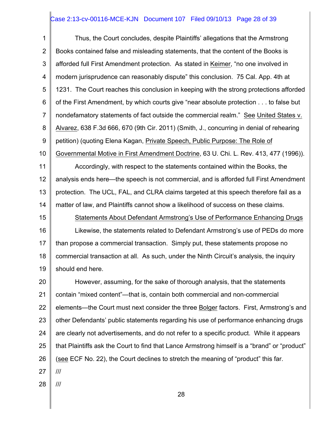# Case 2:13-cv-00116-MCE-KJN Document 107 Filed 09/10/13 Page 28 of 39

1 2 3 4 5 6 7 8 9 10 11 12 Thus, the Court concludes, despite Plaintiffs' allegations that the Armstrong Books contained false and misleading statements, that the content of the Books is afforded full First Amendment protection. As stated in Keimer, "no one involved in modern jurisprudence can reasonably dispute" this conclusion. 75 Cal. App. 4th at 1231. The Court reaches this conclusion in keeping with the strong protections afforded of the First Amendment, by which courts give "near absolute protection . . . to false but nondefamatory statements of fact outside the commercial realm." See United States v. Alvarez, 638 F.3d 666, 670 (9th Cir. 2011) (Smith, J., concurring in denial of rehearing petition) (quoting Elena Kagan, Private Speech, Public Purpose: The Role of Governmental Motive in First Amendment Doctrine, 63 U. Chi. L. Rev. 413, 477 (1996)). Accordingly, with respect to the statements contained within the Books, the analysis ends here—the speech is not commercial, and is afforded full First Amendment

13 14 protection. The UCL, FAL, and CLRA claims targeted at this speech therefore fail as a matter of law, and Plaintiffs cannot show a likelihood of success on these claims.

15 16 17 18 19 Statements About Defendant Armstrong's Use of Performance Enhancing Drugs Likewise, the statements related to Defendant Armstrong's use of PEDs do more than propose a commercial transaction. Simply put, these statements propose no commercial transaction at all. As such, under the Ninth Circuit's analysis, the inquiry should end here.

20 21 22 23 24 25 26 27 However, assuming, for the sake of thorough analysis, that the statements contain "mixed content"—that is, contain both commercial and non-commercial elements—the Court must next consider the three Bolger factors. First, Armstrong's and other Defendants' public statements regarding his use of performance enhancing drugs are clearly not advertisements, and do not refer to a specific product. While it appears that Plaintiffs ask the Court to find that Lance Armstrong himself is a "brand" or "product" (see ECF No. 22), the Court declines to stretch the meaning of "product" this far. ///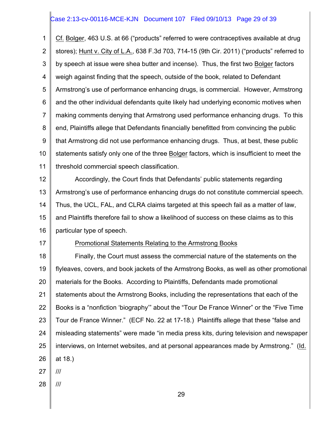# Case 2:13-cv-00116-MCE-KJN Document 107 Filed 09/10/13 Page 29 of 39

1 2 3 4 5 6 7 8 9 10 11 Cf. Bolger, 463 U.S. at 66 ("products" referred to were contraceptives available at drug stores); Hunt v. City of L.A., 638 F.3d 703, 714-15 (9th Cir. 2011) ("products" referred to by speech at issue were shea butter and incense). Thus, the first two Bolger factors weigh against finding that the speech, outside of the book, related to Defendant Armstrong's use of performance enhancing drugs, is commercial. However, Armstrong and the other individual defendants quite likely had underlying economic motives when making comments denying that Armstrong used performance enhancing drugs. To this end, Plaintiffs allege that Defendants financially benefitted from convincing the public that Armstrong did not use performance enhancing drugs. Thus, at best, these public statements satisfy only one of the three Bolger factors, which is insufficient to meet the threshold commercial speech classification.

12 13 14 15 16 Accordingly, the Court finds that Defendants' public statements regarding Armstrong's use of performance enhancing drugs do not constitute commercial speech. Thus, the UCL, FAL, and CLRA claims targeted at this speech fail as a matter of law, and Plaintiffs therefore fail to show a likelihood of success on these claims as to this particular type of speech.

17

#### Promotional Statements Relating to the Armstrong Books

18 19 20 21 22 23 24 25 26 Finally, the Court must assess the commercial nature of the statements on the flyleaves, covers, and book jackets of the Armstrong Books, as well as other promotional materials for the Books. According to Plaintiffs, Defendants made promotional statements about the Armstrong Books, including the representations that each of the Books is a "nonfiction 'biography'" about the "Tour De France Winner" or the "Five Time Tour de France Winner." (ECF No. 22 at 17-18.) Plaintiffs allege that these "false and misleading statements" were made "in media press kits, during television and newspaper interviews, on Internet websites, and at personal appearances made by Armstrong." (Id. at 18.)

- 27 ///
- 28 ///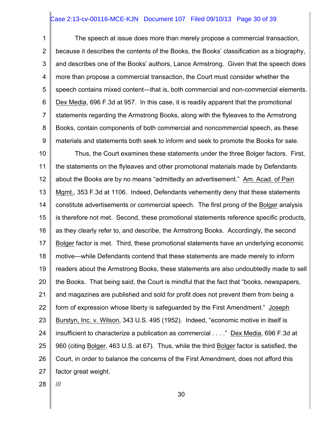#### Case 2:13-cv-00116-MCE-KJN Document 107 Filed 09/10/13 Page 30 of 39

1 2 3 4 5 6 7 8 9 The speech at issue does more than merely propose a commercial transaction, because it describes the contents of the Books, the Books' classification as a biography, and describes one of the Books' authors, Lance Armstrong. Given that the speech does more than propose a commercial transaction, the Court must consider whether the speech contains mixed content—that is, both commercial and non-commercial elements. Dex Media, 696 F.3d at 957. In this case, it is readily apparent that the promotional statements regarding the Armstrong Books, along with the flyleaves to the Armstrong Books, contain components of both commercial and noncommercial speech, as these materials and statements both seek to inform and seek to promote the Books for sale.

10 11 12 13 14 15 16 17 18 19 20 21 22 23 24 25 26 27 Thus, the Court examines these statements under the three Bolger factors. First, the statements on the flyleaves and other promotional materials made by Defendants about the Books are by no means "admittedly an advertisement." Am. Acad. of Pain Mgmt., 353 F.3d at 1106. Indeed, Defendants vehemently deny that these statements constitute advertisements or commercial speech. The first prong of the Bolger analysis is therefore not met. Second, these promotional statements reference specific products, as they clearly refer to, and describe, the Armstrong Books. Accordingly, the second Bolger factor is met. Third, these promotional statements have an underlying economic motive—while Defendants contend that these statements are made merely to inform readers about the Armstrong Books, these statements are also undoubtedly made to sell the Books. That being said, the Court is mindful that the fact that "books, newspapers, and magazines are published and sold for profit does not prevent them from being a form of expression whose liberty is safeguarded by the First Amendment." Joseph Burstyn, Inc. v. Wilson, 343 U.S. 495 (1952). Indeed, "economic motive in itself is insufficient to characterize a publication as commercial . . . ." Dex Media, 696 F.3d at 960 (citing Bolger, 463 U.S. at 67). Thus, while the third Bolger factor is satisfied, the Court, in order to balance the concerns of the First Amendment, does not afford this factor great weight.

28 ///

30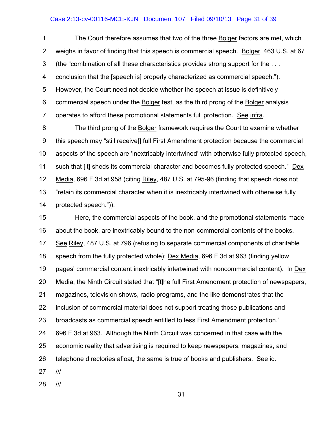# Case 2:13-cv-00116-MCE-KJN Document 107 Filed 09/10/13 Page 31 of 39

1 2 3 4 5 6 7 The Court therefore assumes that two of the three Bolger factors are met, which weighs in favor of finding that this speech is commercial speech. Bolger, 463 U.S. at 67 (the "combination of all these characteristics provides strong support for the . . . conclusion that the [speech is] properly characterized as commercial speech."). However, the Court need not decide whether the speech at issue is definitively commercial speech under the Bolger test, as the third prong of the Bolger analysis operates to afford these promotional statements full protection. See infra.

8 9 10 11 12 13 14 The third prong of the Bolger framework requires the Court to examine whether this speech may "still receive[] full First Amendment protection because the commercial aspects of the speech are 'inextricably intertwined' with otherwise fully protected speech, such that [it] sheds its commercial character and becomes fully protected speech." Dex Media, 696 F.3d at 958 (citing Riley, 487 U.S. at 795-96 (finding that speech does not "retain its commercial character when it is inextricably intertwined with otherwise fully protected speech.")).

15 16 17 18 19 20 21 22 23 24 25 26 27 Here, the commercial aspects of the book, and the promotional statements made about the book, are inextricably bound to the non-commercial contents of the books. See Riley, 487 U.S. at 796 (refusing to separate commercial components of charitable speech from the fully protected whole); Dex Media, 696 F.3d at 963 (finding yellow pages' commercial content inextricably intertwined with noncommercial content). In Dex Media, the Ninth Circuit stated that "[t]he full First Amendment protection of newspapers, magazines, television shows, radio programs, and the like demonstrates that the inclusion of commercial material does not support treating those publications and broadcasts as commercial speech entitled to less First Amendment protection." 696 F.3d at 963. Although the Ninth Circuit was concerned in that case with the economic reality that advertising is required to keep newspapers, magazines, and telephone directories afloat, the same is true of books and publishers. See id. ///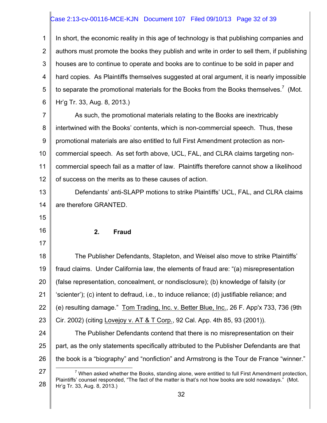# Case 2:13-cv-00116-MCE-KJN Document 107 Filed 09/10/13 Page 32 of 39

1 2 3 4 5 6 7 8 9 10 11 12 13 14 15 16 17 18 19 20 21 22 23 24 25 26 27 28 In short, the economic reality in this age of technology is that publishing companies and authors must promote the books they publish and write in order to sell them, if publishing houses are to continue to operate and books are to continue to be sold in paper and hard copies. As Plaintiffs themselves suggested at oral argument, it is nearly impossible to separate the promotional materials for the Books from the Books themselves.<sup>7</sup> (Mot. Hr'g Tr. 33, Aug. 8, 2013.) As such, the promotional materials relating to the Books are inextricably intertwined with the Books' contents, which is non-commercial speech. Thus, these promotional materials are also entitled to full First Amendment protection as noncommercial speech. As set forth above, UCL, FAL, and CLRA claims targeting noncommercial speech fail as a matter of law. Plaintiffs therefore cannot show a likelihood of success on the merits as to these causes of action. Defendants' anti-SLAPP motions to strike Plaintiffs' UCL, FAL, and CLRA claims are therefore GRANTED. **2. Fraud** The Publisher Defendants, Stapleton, and Weisel also move to strike Plaintiffs' fraud claims. Under California law, the elements of fraud are: "(a) misrepresentation (false representation, concealment, or nondisclosure); (b) knowledge of falsity (or 'scienter'); (c) intent to defraud, i.e., to induce reliance; (d) justifiable reliance; and (e) resulting damage." Tom Trading, Inc. v. Better Blue, Inc., 26 F. App'x 733, 736 (9th Cir. 2002) (citing Lovejoy v. AT & T Corp., 92 Cal. App. 4th 85, 93 (2001)). The Publisher Defendants contend that there is no misrepresentation on their part, as the only statements specifically attributed to the Publisher Defendants are that the book is a "biography" and "nonfiction" and Armstrong is the Tour de France "winner."  $<sup>7</sup>$  When asked whether the Books, standing alone, were entitled to full First Amendment protection,</sup> Plaintiffs' counsel responded, "The fact of the matter is that's not how books are sold nowadays." (Mot. Hr'g Tr. 33, Aug. 8, 2013.)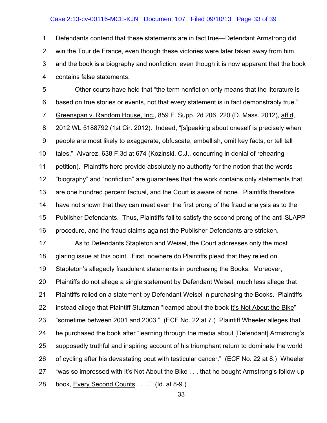#### Case 2:13-cv-00116-MCE-KJN Document 107 Filed 09/10/13 Page 33 of 39

1 2 3 4 Defendants contend that these statements are in fact true—Defendant Armstrong did win the Tour de France, even though these victories were later taken away from him, and the book is a biography and nonfiction, even though it is now apparent that the book contains false statements.

5 6 7 8 9 10 11 12 13 14 15 16 Other courts have held that "the term nonfiction only means that the literature is based on true stories or events, not that every statement is in fact demonstrably true." Greenspan v. Random House, Inc., 859 F. Supp. 2d 206, 220 (D. Mass. 2012), aff'd, 2012 WL 5188792 (1st Cir. 2012). Indeed, "[s]peaking about oneself is precisely when people are most likely to exaggerate, obfuscate, embellish, omit key facts, or tell tall tales." Alvarez, 638 F.3d at 674 (Kozinski, C.J., concurring in denial of rehearing petition). Plaintiffs here provide absolutely no authority for the notion that the words "biography" and "nonfiction" are guarantees that the work contains only statements that are one hundred percent factual, and the Court is aware of none. Plaintiffs therefore have not shown that they can meet even the first prong of the fraud analysis as to the Publisher Defendants. Thus, Plaintiffs fail to satisfy the second prong of the anti-SLAPP procedure, and the fraud claims against the Publisher Defendants are stricken.

17 18 19 20 21 22 23 24 25 26 27 28 As to Defendants Stapleton and Weisel, the Court addresses only the most glaring issue at this point. First, nowhere do Plaintiffs plead that they relied on Stapleton's allegedly fraudulent statements in purchasing the Books. Moreover, Plaintiffs do not allege a single statement by Defendant Weisel, much less allege that Plaintiffs relied on a statement by Defendant Weisel in purchasing the Books. Plaintiffs instead allege that Plaintiff Stutzman "learned about the book It's Not About the Bike" "sometime between 2001 and 2003." (ECF No. 22 at 7.) Plaintiff Wheeler alleges that he purchased the book after "learning through the media about [Defendant] Armstrong's supposedly truthful and inspiring account of his triumphant return to dominate the world of cycling after his devastating bout with testicular cancer." (ECF No. 22 at 8.) Wheeler "was so impressed with It's Not About the Bike . . . that he bought Armstrong's follow-up book, Every Second Counts . . . ." (Id. at 8-9.)

33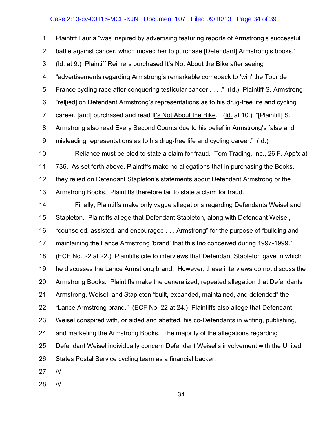# Case 2:13-cv-00116-MCE-KJN Document 107 Filed 09/10/13 Page 34 of 39

1 2 3 4 5 6 7 8 9 Plaintiff Lauria "was inspired by advertising featuring reports of Armstrong's successful battle against cancer, which moved her to purchase [Defendant] Armstrong's books." (Id. at 9.) Plaintiff Reimers purchased It's Not About the Bike after seeing "advertisements regarding Armstrong's remarkable comeback to 'win' the Tour de France cycling race after conquering testicular cancer . . . ." (Id.) Plaintiff S. Armstrong "rel[ied] on Defendant Armstrong's representations as to his drug-free life and cycling career, [and] purchased and read It's Not About the Bike." (Id. at 10.) "[Plaintiff] S. Armstrong also read Every Second Counts due to his belief in Armstrong's false and misleading representations as to his drug-free life and cycling career." (Id.)

10 11 12 13 Reliance must be pled to state a claim for fraud. Tom Trading, Inc., 26 F. App'x at 736. As set forth above, Plaintiffs make no allegations that in purchasing the Books, they relied on Defendant Stapleton's statements about Defendant Armstrong or the Armstrong Books. Plaintiffs therefore fail to state a claim for fraud.

14 15 16 17 18 19 20 21 22 23 24 25 26 Finally, Plaintiffs make only vague allegations regarding Defendants Weisel and Stapleton. Plaintiffs allege that Defendant Stapleton, along with Defendant Weisel, "counseled, assisted, and encouraged . . . Armstrong" for the purpose of "building and maintaining the Lance Armstrong 'brand' that this trio conceived during 1997-1999." (ECF No. 22 at 22.) Plaintiffs cite to interviews that Defendant Stapleton gave in which he discusses the Lance Armstrong brand. However, these interviews do not discuss the Armstrong Books. Plaintiffs make the generalized, repeated allegation that Defendants Armstrong, Weisel, and Stapleton "built, expanded, maintained, and defended" the "Lance Armstrong brand." (ECF No. 22 at 24.) Plaintiffs also allege that Defendant Weisel conspired with, or aided and abetted, his co-Defendants in writing, publishing, and marketing the Armstrong Books. The majority of the allegations regarding Defendant Weisel individually concern Defendant Weisel's involvement with the United States Postal Service cycling team as a financial backer.

- 27 ///
- 28 ///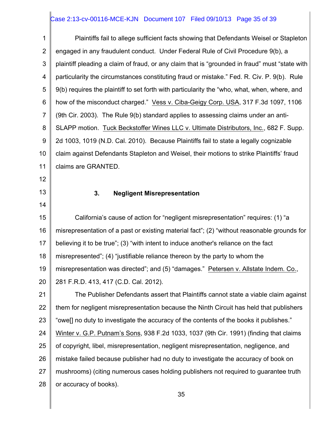# Case 2:13-cv-00116-MCE-KJN Document 107 Filed 09/10/13 Page 35 of 39

1 2 3 4 5 6 7 8 9 10 11 12 13 14 Plaintiffs fail to allege sufficient facts showing that Defendants Weisel or Stapleton engaged in any fraudulent conduct. Under Federal Rule of Civil Procedure 9(b), a plaintiff pleading a claim of fraud, or any claim that is "grounded in fraud" must "state with particularity the circumstances constituting fraud or mistake." Fed. R. Civ. P. 9(b). Rule 9(b) requires the plaintiff to set forth with particularity the "who, what, when, where, and how of the misconduct charged." Vess v. Ciba-Geigy Corp. USA, 317 F.3d 1097, 1106 (9th Cir. 2003). The Rule 9(b) standard applies to assessing claims under an anti-SLAPP motion. Tuck Beckstoffer Wines LLC v. Ultimate Distributors, Inc., 682 F. Supp. 2d 1003, 1019 (N.D. Cal. 2010). Because Plaintiffs fail to state a legally cognizable claim against Defendants Stapleton and Weisel, their motions to strike Plaintiffs' fraud claims are GRANTED. **3. Negligent Misrepresentation**

15 16 17 18 19 20 California's cause of action for "negligent misrepresentation" requires: (1) "a misrepresentation of a past or existing material fact"; (2) "without reasonable grounds for believing it to be true"; (3) "with intent to induce another's reliance on the fact misrepresented"; (4) "justifiable reliance thereon by the party to whom the misrepresentation was directed"; and (5) "damages." Petersen v. Allstate Indem. Co., 281 F.R.D. 413, 417 (C.D. Cal. 2012).

21 22 23 24 25 26 27 28 The Publisher Defendants assert that Plaintiffs cannot state a viable claim against them for negligent misrepresentation because the Ninth Circuit has held that publishers "owe[] no duty to investigate the accuracy of the contents of the books it publishes." Winter v. G.P. Putnam's Sons, 938 F.2d 1033, 1037 (9th Cir. 1991) (finding that claims of copyright, libel, misrepresentation, negligent misrepresentation, negligence, and mistake failed because publisher had no duty to investigate the accuracy of book on mushrooms) (citing numerous cases holding publishers not required to guarantee truth or accuracy of books).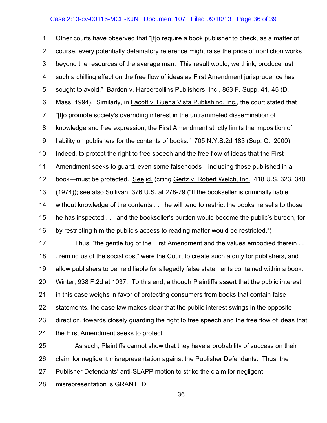#### Case 2:13-cv-00116-MCE-KJN Document 107 Filed 09/10/13 Page 36 of 39

1 2 3 4 5 6 7 8 9 10 11 12 13 14 15 16 Other courts have observed that "[t]o require a book publisher to check, as a matter of course, every potentially defamatory reference might raise the price of nonfiction works beyond the resources of the average man. This result would, we think, produce just such a chilling effect on the free flow of ideas as First Amendment jurisprudence has sought to avoid." Barden v. Harpercollins Publishers, Inc., 863 F. Supp. 41, 45 (D. Mass. 1994). Similarly, in Lacoff v. Buena Vista Publishing, Inc., the court stated that "[t]o promote society's overriding interest in the untrammeled dissemination of knowledge and free expression, the First Amendment strictly limits the imposition of liability on publishers for the contents of books." 705 N.Y.S.2d 183 (Sup. Ct. 2000). Indeed, to protect the right to free speech and the free flow of ideas that the First Amendment seeks to guard, even some falsehoods—including those published in a book—must be protected. See id. (citing Gertz v. Robert Welch, Inc., 418 U.S. 323, 340 (1974)); see also Sullivan, 376 U.S. at 278-79 ("If the bookseller is criminally liable without knowledge of the contents . . . he will tend to restrict the books he sells to those he has inspected . . . and the bookseller's burden would become the public's burden, for by restricting him the public's access to reading matter would be restricted.")

17 18 19 20 21 22 23 24 Thus, "the gentle tug of the First Amendment and the values embodied therein . . . remind us of the social cost" were the Court to create such a duty for publishers, and allow publishers to be held liable for allegedly false statements contained within a book. Winter, 938 F.2d at 1037. To this end, although Plaintiffs assert that the public interest in this case weighs in favor of protecting consumers from books that contain false statements, the case law makes clear that the public interest swings in the opposite direction, towards closely guarding the right to free speech and the free flow of ideas that the First Amendment seeks to protect.

25 26 27 28 As such, Plaintiffs cannot show that they have a probability of success on their claim for negligent misrepresentation against the Publisher Defendants. Thus, the Publisher Defendants' anti-SLAPP motion to strike the claim for negligent misrepresentation is GRANTED.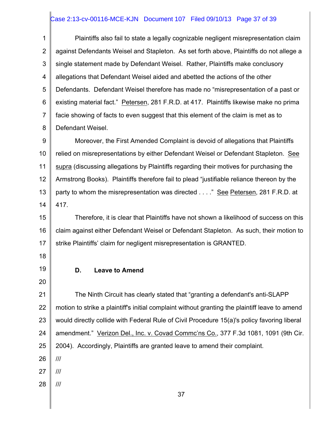# Case 2:13-cv-00116-MCE-KJN Document 107 Filed 09/10/13 Page 37 of 39

1 2 3 4 5 6 7 8 Plaintiffs also fail to state a legally cognizable negligent misrepresentation claim against Defendants Weisel and Stapleton. As set forth above, Plaintiffs do not allege a single statement made by Defendant Weisel. Rather, Plaintiffs make conclusory allegations that Defendant Weisel aided and abetted the actions of the other Defendants. Defendant Weisel therefore has made no "misrepresentation of a past or existing material fact." Petersen, 281 F.R.D. at 417. Plaintiffs likewise make no prima facie showing of facts to even suggest that this element of the claim is met as to Defendant Weisel.

9 10 11 12 13 14 Moreover, the First Amended Complaint is devoid of allegations that Plaintiffs relied on misrepresentations by either Defendant Weisel or Defendant Stapleton. See supra (discussing allegations by Plaintiffs regarding their motives for purchasing the Armstrong Books). Plaintiffs therefore fail to plead "justifiable reliance thereon by the party to whom the misrepresentation was directed . . . . " See Petersen, 281 F.R.D. at 417.

15 16 17 Therefore, it is clear that Plaintiffs have not shown a likelihood of success on this claim against either Defendant Weisel or Defendant Stapleton. As such, their motion to strike Plaintiffs' claim for negligent misrepresentation is GRANTED.

18

19 20

# **D. Leave to Amend**

21 22 23 24 25 The Ninth Circuit has clearly stated that "granting a defendant's anti-SLAPP motion to strike a plaintiff's initial complaint without granting the plaintiff leave to amend would directly collide with Federal Rule of Civil Procedure 15(a)'s policy favoring liberal amendment." Verizon Del., Inc. v. Covad Commc'ns Co., 377 F.3d 1081, 1091 (9th Cir. 2004). Accordingly, Plaintiffs are granted leave to amend their complaint.

26 ///

27 ///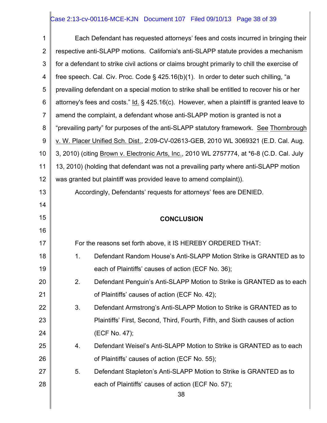# Case 2:13-cv-00116-MCE-KJN Document 107 Filed 09/10/13 Page 38 of 39

| 1              |    | Each Defendant has requested attorneys' fees and costs incurred in bringing their            |
|----------------|----|----------------------------------------------------------------------------------------------|
| $\overline{2}$ |    | respective anti-SLAPP motions. California's anti-SLAPP statute provides a mechanism          |
| 3              |    | for a defendant to strike civil actions or claims brought primarily to chill the exercise of |
| 4              |    | free speech. Cal. Civ. Proc. Code § 425.16(b)(1). In order to deter such chilling, "a        |
| 5              |    | prevailing defendant on a special motion to strike shall be entitled to recover his or her   |
| 6              |    | attorney's fees and costs." Id. § 425.16(c). However, when a plaintiff is granted leave to   |
| $\overline{7}$ |    | amend the complaint, a defendant whose anti-SLAPP motion is granted is not a                 |
| 8              |    | "prevailing party" for purposes of the anti-SLAPP statutory framework. See Thornbrough       |
| $9\,$          |    | v. W. Placer Unified Sch. Dist., 2:09-CV-02613-GEB, 2010 WL 3069321 (E.D. Cal. Aug.          |
| 10             |    | 3, 2010) (citing Brown v. Electronic Arts, Inc., 2010 WL 2757774, at *6-8 (C.D. Cal. July    |
| 11             |    | 13, 2010) (holding that defendant was not a prevailing party where anti-SLAPP motion         |
| 12             |    | was granted but plaintiff was provided leave to amend complaint)).                           |
| 13             |    | Accordingly, Defendants' requests for attorneys' fees are DENIED.                            |
| 14             |    |                                                                                              |
| 15             |    | <b>CONCLUSION</b>                                                                            |
|                |    |                                                                                              |
| 16             |    |                                                                                              |
| 17             |    | For the reasons set forth above, it IS HEREBY ORDERED THAT:                                  |
| 18             | 1. | Defendant Random House's Anti-SLAPP Motion Strike is GRANTED as to                           |
| 19             |    | each of Plaintiffs' causes of action (ECF No. 36);                                           |
| 20             | 2. | Defendant Penguin's Anti-SLAPP Motion to Strike is GRANTED as to each                        |
| 21             |    | of Plaintiffs' causes of action (ECF No. 42);                                                |
| 22             | 3. | Defendant Armstrong's Anti-SLAPP Motion to Strike is GRANTED as to                           |
| 23             |    | Plaintiffs' First, Second, Third, Fourth, Fifth, and Sixth causes of action                  |
| 24             |    | (ECF No. 47);                                                                                |
| 25             | 4. | Defendant Weisel's Anti-SLAPP Motion to Strike is GRANTED as to each                         |
| 26             |    | of Plaintiffs' causes of action (ECF No. 55);                                                |
| 27             | 5. | Defendant Stapleton's Anti-SLAPP Motion to Strike is GRANTED as to                           |
| 28             |    | each of Plaintiffs' causes of action (ECF No. 57);                                           |
|                |    | 38                                                                                           |